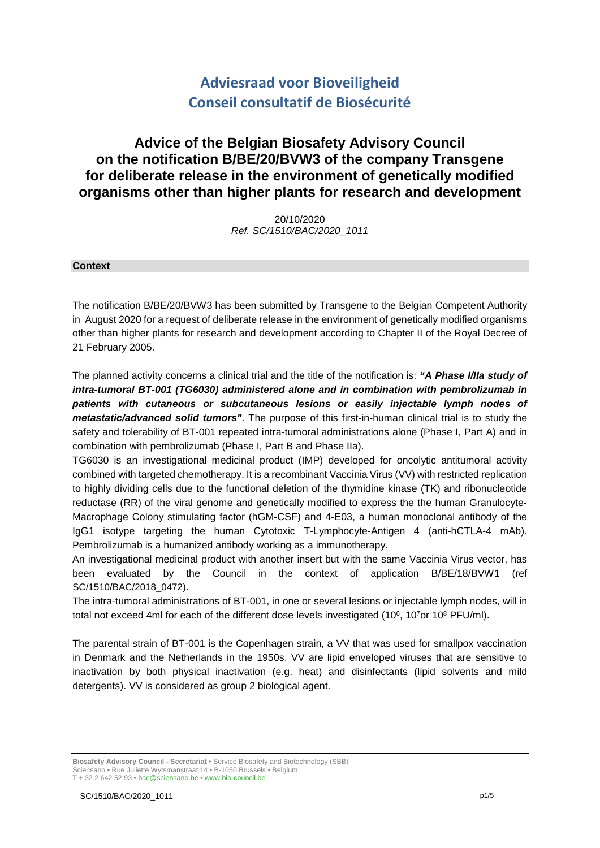# **Adviesraad voor Bioveiligheid Conseil consultatif de Biosécurité**

# **Advice of the Belgian Biosafety Advisory Council on the notification B/BE/20/BVW3 of the company Transgene for deliberate release in the environment of genetically modified organisms other than higher plants for research and development**

20/10/2020 *Ref. SC/1510/BAC/2020\_1011*

#### **Context**

The notification B/BE/20/BVW3 has been submitted by Transgene to the Belgian Competent Authority in August 2020 for a request of deliberate release in the environment of genetically modified organisms other than higher plants for research and development according to Chapter II of the Royal Decree of 21 February 2005.

The planned activity concerns a clinical trial and the title of the notification is: *"A Phase I/IIa study of intra-tumoral BT-001 (TG6030) administered alone and in combination with pembrolizumab in patients with cutaneous or subcutaneous lesions or easily injectable lymph nodes of metastatic/advanced solid tumors"*. The purpose of this first-in-human clinical trial is to study the safety and tolerability of BT-001 repeated intra-tumoral administrations alone (Phase I, Part A) and in combination with pembrolizumab (Phase I, Part B and Phase IIa).

TG6030 is an investigational medicinal product (IMP) developed for oncolytic antitumoral activity combined with targeted chemotherapy. It is a recombinant Vaccinia Virus (VV) with restricted replication to highly dividing cells due to the functional deletion of the thymidine kinase (TK) and ribonucleotide reductase (RR) of the viral genome and genetically modified to express the the human Granulocyte-Macrophage Colony stimulating factor (hGM-CSF) and 4-E03, a human monoclonal antibody of the IgG1 isotype targeting the human Cytotoxic T-Lymphocyte-Antigen 4 (anti-hCTLA-4 mAb). Pembrolizumab is a humanized antibody working as a immunotherapy.

An investigational medicinal product with another insert but with the same Vaccinia Virus vector, has been evaluated by the Council in the context of application B/BE/18/BVW1 (ref SC/1510/BAC/2018\_0472).

The intra-tumoral administrations of BT-001, in one or several lesions or injectable lymph nodes, will in total not exceed 4ml for each of the different dose levels investigated  $(10^6, 10^7$ or  $10^8$  PFU/ml).

The parental strain of BT-001 is the Copenhagen strain, a VV that was used for smallpox vaccination in Denmark and the Netherlands in the 1950s. VV are lipid enveloped viruses that are sensitive to inactivation by both physical inactivation (e.g. heat) and disinfectants (lipid solvents and mild detergents). VV is considered as group 2 biological agent.

**Biosafety Advisory Council - Secretariat •** Service Biosafety and Biotechnology (SBB) Sciensano **•** Rue Juliette Wytsmanstraat 14 **•** B-1050 Brussels **•** Belgium T + 32 2 642 52 93 **•** bac@sciensano.be **•** www.bio-council.be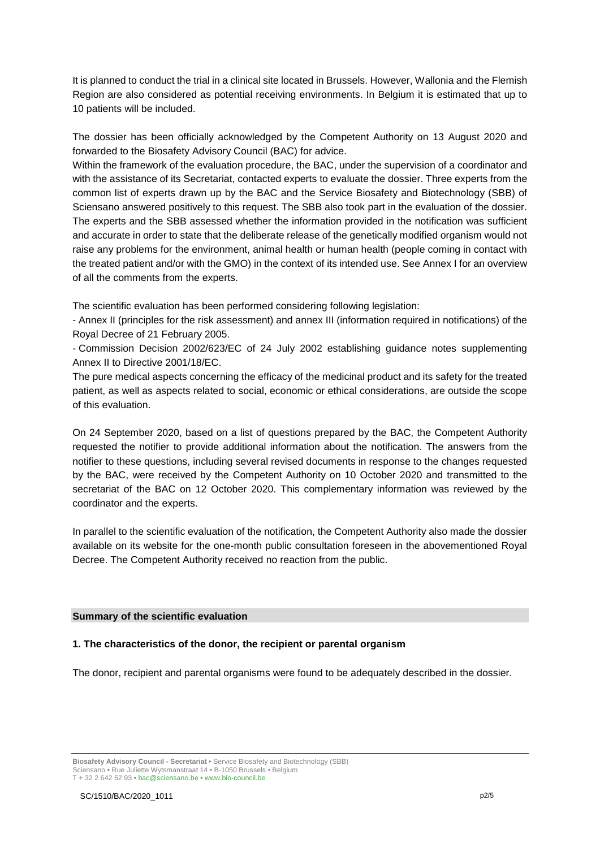It is planned to conduct the trial in a clinical site located in Brussels. However, Wallonia and the Flemish Region are also considered as potential receiving environments. In Belgium it is estimated that up to 10 patients will be included.

The dossier has been officially acknowledged by the Competent Authority on 13 August 2020 and forwarded to the Biosafety Advisory Council (BAC) for advice.

Within the framework of the evaluation procedure, the BAC, under the supervision of a coordinator and with the assistance of its Secretariat, contacted experts to evaluate the dossier. Three experts from the common list of experts drawn up by the BAC and the Service Biosafety and Biotechnology (SBB) of Sciensano answered positively to this request. The SBB also took part in the evaluation of the dossier. The experts and the SBB assessed whether the information provided in the notification was sufficient and accurate in order to state that the deliberate release of the genetically modified organism would not raise any problems for the environment, animal health or human health (people coming in contact with the treated patient and/or with the GMO) in the context of its intended use. See Annex I for an overview of all the comments from the experts.

The scientific evaluation has been performed considering following legislation:

- Annex II (principles for the risk assessment) and annex III (information required in notifications) of the Royal Decree of 21 February 2005.

- Commission Decision 2002/623/EC of 24 July 2002 establishing guidance notes supplementing Annex II to Directive 2001/18/EC.

The pure medical aspects concerning the efficacy of the medicinal product and its safety for the treated patient, as well as aspects related to social, economic or ethical considerations, are outside the scope of this evaluation.

On 24 September 2020, based on a list of questions prepared by the BAC, the Competent Authority requested the notifier to provide additional information about the notification. The answers from the notifier to these questions, including several revised documents in response to the changes requested by the BAC, were received by the Competent Authority on 10 October 2020 and transmitted to the secretariat of the BAC on 12 October 2020. This complementary information was reviewed by the coordinator and the experts.

In parallel to the scientific evaluation of the notification, the Competent Authority also made the dossier available on its website for the one-month public consultation foreseen in the abovementioned Royal Decree. The Competent Authority received no reaction from the public.

#### **Summary of the scientific evaluation**

### **1. The characteristics of the donor, the recipient or parental organism**

The donor, recipient and parental organisms were found to be adequately described in the dossier.

**Biosafety Advisory Council - Secretariat •** Service Biosafety and Biotechnology (SBB) Sciensano **•** Rue Juliette Wytsmanstraat 14 **•** B-1050 Brussels **•** Belgium T + 32 2 642 52 93 **•** bac@sciensano.be **•** www.bio-council.be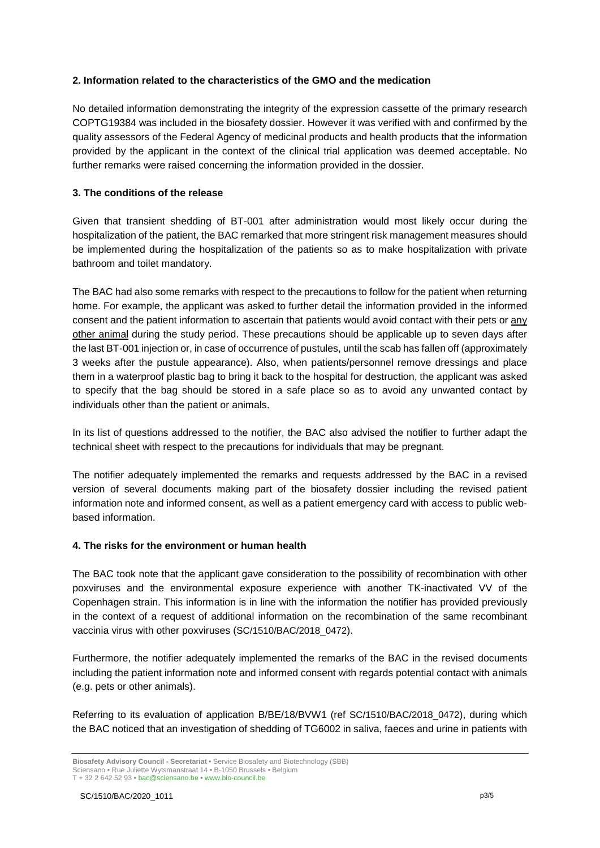## **2. Information related to the characteristics of the GMO and the medication**

No detailed information demonstrating the integrity of the expression cassette of the primary research COPTG19384 was included in the biosafety dossier. However it was verified with and confirmed by the quality assessors of the Federal Agency of medicinal products and health products that the information provided by the applicant in the context of the clinical trial application was deemed acceptable. No further remarks were raised concerning the information provided in the dossier.

# **3. The conditions of the release**

Given that transient shedding of BT-001 after administration would most likely occur during the hospitalization of the patient, the BAC remarked that more stringent risk management measures should be implemented during the hospitalization of the patients so as to make hospitalization with private bathroom and toilet mandatory.

The BAC had also some remarks with respect to the precautions to follow for the patient when returning home. For example, the applicant was asked to further detail the information provided in the informed consent and the patient information to ascertain that patients would avoid contact with their pets or any other animal during the study period. These precautions should be applicable up to seven days after the last BT-001 injection or, in case of occurrence of pustules, until the scab has fallen off (approximately 3 weeks after the pustule appearance). Also, when patients/personnel remove dressings and place them in a waterproof plastic bag to bring it back to the hospital for destruction, the applicant was asked to specify that the bag should be stored in a safe place so as to avoid any unwanted contact by individuals other than the patient or animals.

In its list of questions addressed to the notifier, the BAC also advised the notifier to further adapt the technical sheet with respect to the precautions for individuals that may be pregnant.

The notifier adequately implemented the remarks and requests addressed by the BAC in a revised version of several documents making part of the biosafety dossier including the revised patient information note and informed consent, as well as a patient emergency card with access to public webbased information.

### **4. The risks for the environment or human health**

The BAC took note that the applicant gave consideration to the possibility of recombination with other poxviruses and the environmental exposure experience with another TK-inactivated VV of the Copenhagen strain. This information is in line with the information the notifier has provided previously in the context of a request of additional information on the recombination of the same recombinant vaccinia virus with other poxviruses (SC/1510/BAC/2018\_0472).

Furthermore, the notifier adequately implemented the remarks of the BAC in the revised documents including the patient information note and informed consent with regards potential contact with animals (e.g. pets or other animals).

Referring to its evaluation of application B/BE/18/BVW1 (ref SC/1510/BAC/2018 0472), during which the BAC noticed that an investigation of shedding of TG6002 in saliva, faeces and urine in patients with

T + 32 2 642 52 93 **•** bac@sciensano.be **•** www.bio-council.be

**Biosafety Advisory Council - Secretariat •** Service Biosafety and Biotechnology (SBB) Sciensano **•** Rue Juliette Wytsmanstraat 14 **•** B-1050 Brussels **•** Belgium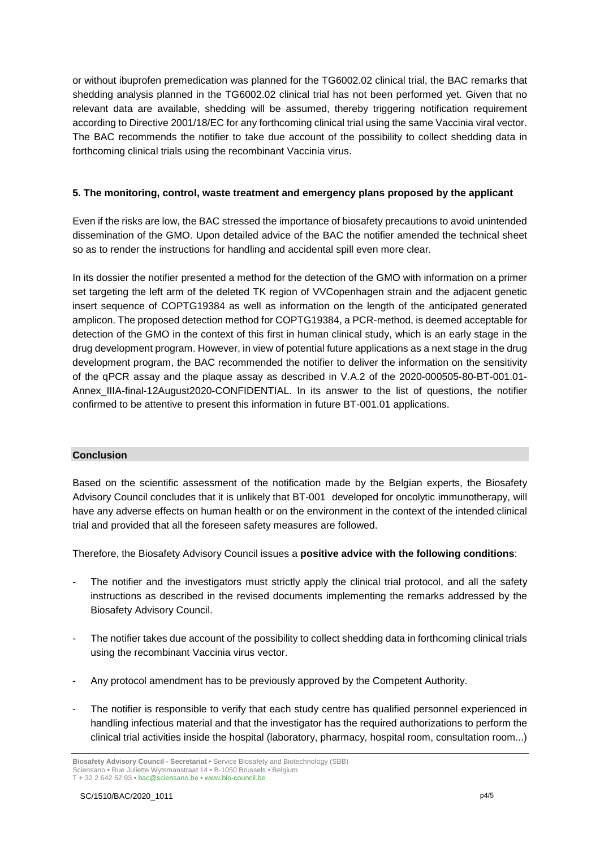or without ibuprofen premedication was planned for the TG6002.02 clinical trial, the BAC remarks that shedding analysis planned in the TG6002.02 clinical trial has not been performed yet. Given that no relevant data are available, shedding will be assumed, thereby triggering notification requirement according to Directive 2001/18/EC for any forthcoming clinical trial using the same Vaccinia viral vector. The BAC recommends the notifier to take due account of the possibility to collect shedding data in forthcoming clinical trials using the recombinant Vaccinia virus.

## **5. The monitoring, control, waste treatment and emergency plans proposed by the applicant**

Even if the risks are low, the BAC stressed the importance of biosafety precautions to avoid unintended dissemination of the GMO. Upon detailed advice of the BAC the notifier amended the technical sheet so as to render the instructions for handling and accidental spill even more clear.

In its dossier the notifier presented a method for the detection of the GMO with information on a primer set targeting the left arm of the deleted TK region of VVCopenhagen strain and the adjacent genetic insert sequence of COPTG19384 as well as information on the length of the anticipated generated amplicon. The proposed detection method for COPTG19384, a PCR-method, is deemed acceptable for detection of the GMO in the context of this first in human clinical study, which is an early stage in the drug development program. However, in view of potential future applications as a next stage in the drug development program, the BAC recommended the notifier to deliver the information on the sensitivity of the qPCR assay and the plaque assay as described in V.A.2 of the 2020-000505-80-BT-001.01- Annex\_IIIA-final-12August2020-CONFIDENTIAL. In its answer to the list of questions, the notifier confirmed to be attentive to present this information in future BT-001.01 applications.

### **Conclusion**

Based on the scientific assessment of the notification made by the Belgian experts, the Biosafety Advisory Council concludes that it is unlikely that BT-001 developed for oncolytic immunotherapy, will have any adverse effects on human health or on the environment in the context of the intended clinical trial and provided that all the foreseen safety measures are followed.

Therefore, the Biosafety Advisory Council issues a **positive advice with the following conditions**:

- The notifier and the investigators must strictly apply the clinical trial protocol, and all the safety instructions as described in the revised documents implementing the remarks addressed by the Biosafety Advisory Council.
- The notifier takes due account of the possibility to collect shedding data in forthcoming clinical trials using the recombinant Vaccinia virus vector.
- Any protocol amendment has to be previously approved by the Competent Authority.
- The notifier is responsible to verify that each study centre has qualified personnel experienced in handling infectious material and that the investigator has the required authorizations to perform the clinical trial activities inside the hospital (laboratory, pharmacy, hospital room, consultation room...)

**Biosafety Advisory Council - Secretariat •** Service Biosafety and Biotechnology (SBB) Sciensano **•** Rue Juliette Wytsmanstraat 14 **•** B-1050 Brussels **•** Belgium T + 32 2 642 52 93 **•** bac@sciensano.be **•** www.bio-council.be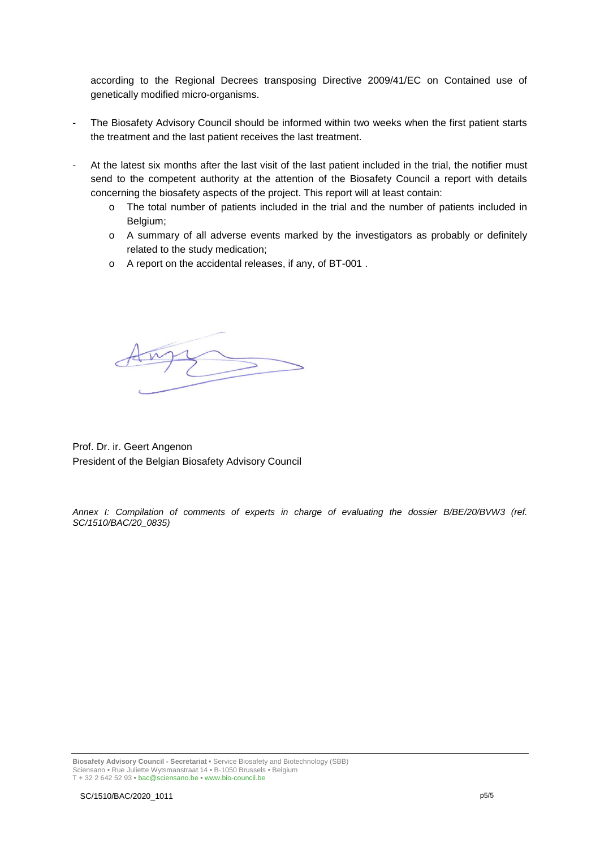according to the Regional Decrees transposing Directive 2009/41/EC on Contained use of genetically modified micro-organisms.

- The Biosafety Advisory Council should be informed within two weeks when the first patient starts the treatment and the last patient receives the last treatment.
- At the latest six months after the last visit of the last patient included in the trial, the notifier must send to the competent authority at the attention of the Biosafety Council a report with details concerning the biosafety aspects of the project. This report will at least contain:
	- o The total number of patients included in the trial and the number of patients included in Belgium;
	- o A summary of all adverse events marked by the investigators as probably or definitely related to the study medication;
	- o A report on the accidental releases, if any, of BT-001 .

Prof. Dr. ir. Geert Angenon President of the Belgian Biosafety Advisory Council

*Annex I: Compilation of comments of experts in charge of evaluating the dossier B/BE/20/BVW3 (ref. SC/1510/BAC/20\_0835)*

**Biosafety Advisory Council - Secretariat •** Service Biosafety and Biotechnology (SBB) Sciensano **•** Rue Juliette Wytsmanstraat 14 **•** B-1050 Brussels **•** Belgium T + 32 2 642 52 93 **•** bac@sciensano.be **•** www.bio-council.be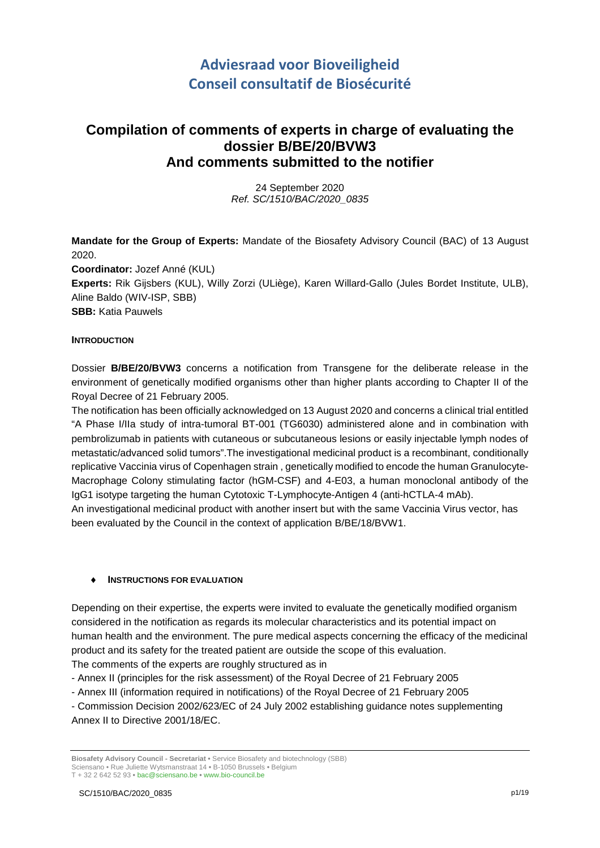# **Adviesraad voor Bioveiligheid Conseil consultatif de Biosécurité**

# **Compilation of comments of experts in charge of evaluating the dossier B/BE/20/BVW3 And comments submitted to the notifier**

24 September 2020 *Ref. SC/1510/BAC/2020\_0835*

**Mandate for the Group of Experts:** Mandate of the Biosafety Advisory Council (BAC) of 13 August 2020. **Coordinator:** Jozef Anné (KUL)

**Experts:** Rik Gijsbers (KUL), Willy Zorzi (ULiège), Karen Willard-Gallo (Jules Bordet Institute, ULB), Aline Baldo (WIV-ISP, SBB)

**SBB:** Katia Pauwels

### **INTRODUCTION**

Dossier **B/BE/20/BVW3** concerns a notification from Transgene for the deliberate release in the environment of genetically modified organisms other than higher plants according to Chapter II of the Royal Decree of 21 February 2005.

The notification has been officially acknowledged on 13 August 2020 and concerns a clinical trial entitled "A Phase I/IIa study of intra-tumoral BT-001 (TG6030) administered alone and in combination with pembrolizumab in patients with cutaneous or subcutaneous lesions or easily injectable lymph nodes of metastatic/advanced solid tumors".The investigational medicinal product is a recombinant, conditionally replicative Vaccinia virus of Copenhagen strain , genetically modified to encode the human Granulocyte-Macrophage Colony stimulating factor (hGM-CSF) and 4-E03, a human monoclonal antibody of the IgG1 isotype targeting the human Cytotoxic T-Lymphocyte-Antigen 4 (anti-hCTLA-4 mAb).

An investigational medicinal product with another insert but with the same Vaccinia Virus vector, has been evaluated by the Council in the context of application B/BE/18/BVW1.

### **INSTRUCTIONS FOR EVALUATION**

Depending on their expertise, the experts were invited to evaluate the genetically modified organism considered in the notification as regards its molecular characteristics and its potential impact on human health and the environment. The pure medical aspects concerning the efficacy of the medicinal product and its safety for the treated patient are outside the scope of this evaluation. The comments of the experts are roughly structured as in

- Annex II (principles for the risk assessment) of the Royal Decree of 21 February 2005

- Annex III (information required in notifications) of the Royal Decree of 21 February 2005

- Commission Decision 2002/623/EC of 24 July 2002 establishing guidance notes supplementing Annex II to Directive 2001/18/EC.

**Biosafety Advisory Council - Secretariat •** Service Biosafety and biotechnology (SBB) Sciensano • Rue Juliette Wytsmanstraat 14 **•** B-1050 Brussels **•** Belgium T + 32 2 642 52 93 **•** bac@sciensano.be **•** www.bio-council.be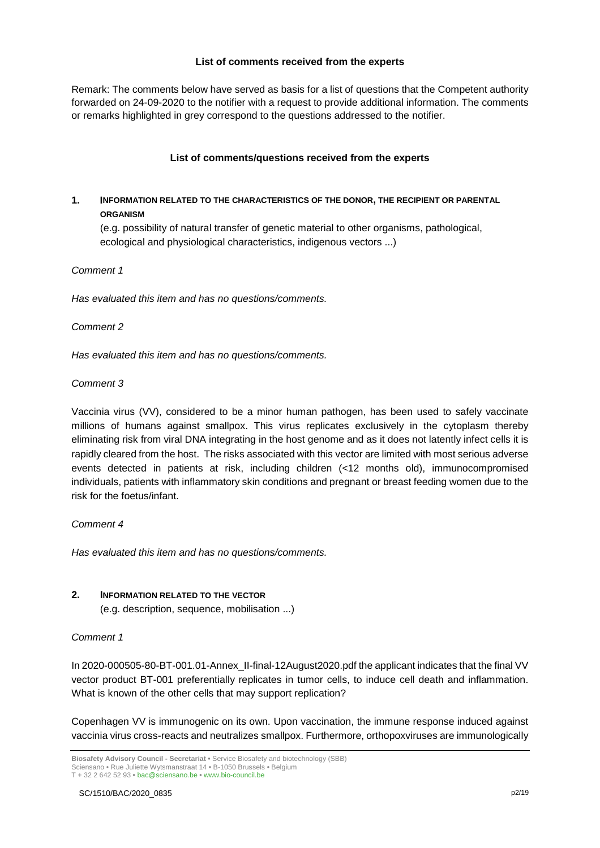### **List of comments received from the experts**

Remark: The comments below have served as basis for a list of questions that the Competent authority forwarded on 24-09-2020 to the notifier with a request to provide additional information. The comments or remarks highlighted in grey correspond to the questions addressed to the notifier.

### **List of comments/questions received from the experts**

# **1. INFORMATION RELATED TO THE CHARACTERISTICS OF THE DONOR, THE RECIPIENT OR PARENTAL ORGANISM**

(e.g. possibility of natural transfer of genetic material to other organisms, pathological, ecological and physiological characteristics, indigenous vectors ...)

### *Comment 1*

*Has evaluated this item and has no questions/comments.*

### *Comment 2*

*Has evaluated this item and has no questions/comments.*

### *Comment 3*

Vaccinia virus (VV), considered to be a minor human pathogen, has been used to safely vaccinate millions of humans against smallpox. This virus replicates exclusively in the cytoplasm thereby eliminating risk from viral DNA integrating in the host genome and as it does not latently infect cells it is rapidly cleared from the host. The risks associated with this vector are limited with most serious adverse events detected in patients at risk, including children (<12 months old), immunocompromised individuals, patients with inflammatory skin conditions and pregnant or breast feeding women due to the risk for the foetus/infant.

### *Comment 4*

*Has evaluated this item and has no questions/comments.*

### **2. INFORMATION RELATED TO THE VECTOR**

(e.g. description, sequence, mobilisation ...)

### *Comment 1*

In 2020-000505-80-BT-001.01-Annex\_II-final-12August2020.pdf the applicant indicates that the final VV vector product BT-001 preferentially replicates in tumor cells, to induce cell death and inflammation. What is known of the other cells that may support replication?

Copenhagen VV is immunogenic on its own. Upon vaccination, the immune response induced against vaccinia virus cross-reacts and neutralizes smallpox. Furthermore, orthopoxviruses are immunologically

**Biosafety Advisory Council - Secretariat •** Service Biosafety and biotechnology (SBB) Sciensano • Rue Juliette Wytsmanstraat 14 **•** B-1050 Brussels **•** Belgium T + 32 2 642 52 93 **•** bac@sciensano.be **•** www.bio-council.be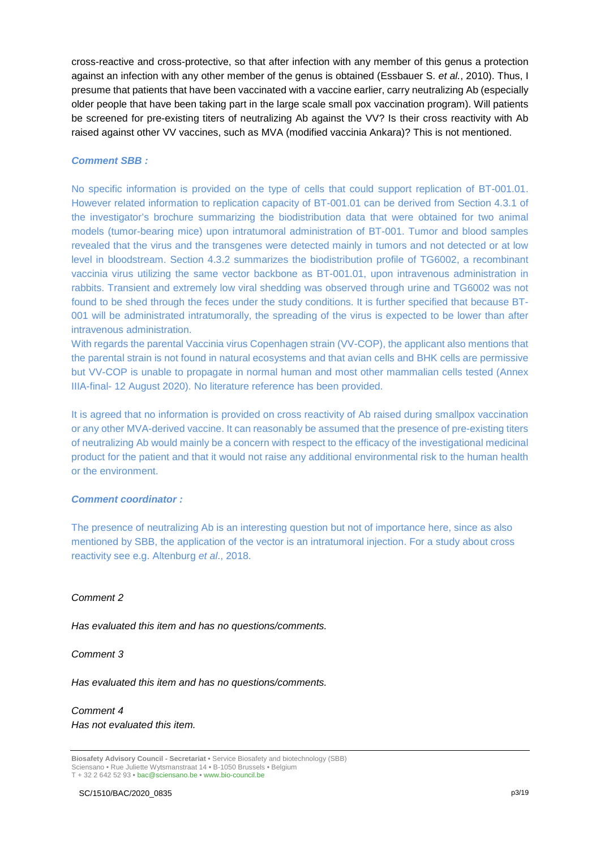cross-reactive and cross-protective, so that after infection with any member of this genus a protection against an infection with any other member of the genus is obtained (Essbauer S. *et al.*, 2010). Thus, I presume that patients that have been vaccinated with a vaccine earlier, carry neutralizing Ab (especially older people that have been taking part in the large scale small pox vaccination program). Will patients be screened for pre-existing titers of neutralizing Ab against the VV? Is their cross reactivity with Ab raised against other VV vaccines, such as MVA (modified vaccinia Ankara)? This is not mentioned.

### *Comment SBB :*

No specific information is provided on the type of cells that could support replication of BT-001.01. However related information to replication capacity of BT-001.01 can be derived from Section 4.3.1 of the investigator's brochure summarizing the biodistribution data that were obtained for two animal models (tumor-bearing mice) upon intratumoral administration of BT-001. Tumor and blood samples revealed that the virus and the transgenes were detected mainly in tumors and not detected or at low level in bloodstream. Section 4.3.2 summarizes the biodistribution profile of TG6002, a recombinant vaccinia virus utilizing the same vector backbone as BT-001.01, upon intravenous administration in rabbits. Transient and extremely low viral shedding was observed through urine and TG6002 was not found to be shed through the feces under the study conditions. It is further specified that because BT-001 will be administrated intratumorally, the spreading of the virus is expected to be lower than after intravenous administration.

With regards the parental Vaccinia virus Copenhagen strain (VV-COP), the applicant also mentions that the parental strain is not found in natural ecosystems and that avian cells and BHK cells are permissive but VV-COP is unable to propagate in normal human and most other mammalian cells tested (Annex IIIA-final- 12 August 2020). No literature reference has been provided.

It is agreed that no information is provided on cross reactivity of Ab raised during smallpox vaccination or any other MVA-derived vaccine. It can reasonably be assumed that the presence of pre-existing titers of neutralizing Ab would mainly be a concern with respect to the efficacy of the investigational medicinal product for the patient and that it would not raise any additional environmental risk to the human health or the environment.

### *Comment coordinator :*

The presence of neutralizing Ab is an interesting question but not of importance here, since as also mentioned by SBB, the application of the vector is an intratumoral injection. For a study about cross reactivity see e.g. Altenburg *et al*., 2018.

### *Comment 2*

*Has evaluated this item and has no questions/comments.*

#### *Comment 3*

*Has evaluated this item and has no questions/comments.*

# *Comment 4*

*Has not evaluated this item.*

**Biosafety Advisory Council - Secretariat •** Service Biosafety and biotechnology (SBB) Sciensano • Rue Juliette Wytsmanstraat 14 **•** B-1050 Brussels **•** Belgium T + 32 2 642 52 93 **•** bac@sciensano.be **•** www.bio-council.be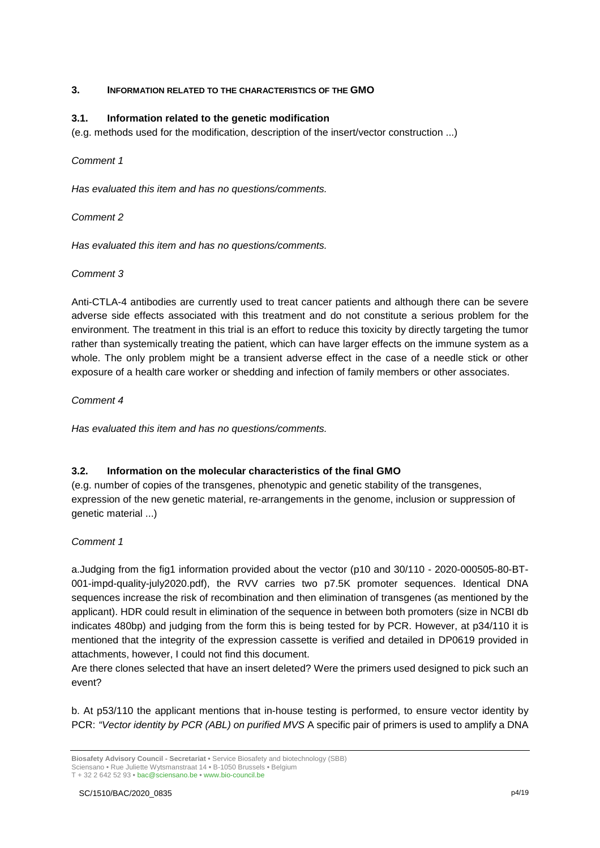## **3. INFORMATION RELATED TO THE CHARACTERISTICS OF THE GMO**

## **3.1. Information related to the genetic modification**

(e.g. methods used for the modification, description of the insert/vector construction ...)

## *Comment 1*

*Has evaluated this item and has no questions/comments.*

## *Comment 2*

*Has evaluated this item and has no questions/comments.*

# *Comment 3*

Anti-CTLA-4 antibodies are currently used to treat cancer patients and although there can be severe adverse side effects associated with this treatment and do not constitute a serious problem for the environment. The treatment in this trial is an effort to reduce this toxicity by directly targeting the tumor rather than systemically treating the patient, which can have larger effects on the immune system as a whole. The only problem might be a transient adverse effect in the case of a needle stick or other exposure of a health care worker or shedding and infection of family members or other associates.

# *Comment 4*

*Has evaluated this item and has no questions/comments.*

# **3.2. Information on the molecular characteristics of the final GMO**

(e.g. number of copies of the transgenes, phenotypic and genetic stability of the transgenes, expression of the new genetic material, re-arrangements in the genome, inclusion or suppression of genetic material ...)

# *Comment 1*

a.Judging from the fig1 information provided about the vector (p10 and 30/110 - 2020-000505-80-BT-001-impd-quality-july2020.pdf), the RVV carries two p7.5K promoter sequences. Identical DNA sequences increase the risk of recombination and then elimination of transgenes (as mentioned by the applicant). HDR could result in elimination of the sequence in between both promoters (size in NCBI db indicates 480bp) and judging from the form this is being tested for by PCR. However, at p34/110 it is mentioned that the integrity of the expression cassette is verified and detailed in DP0619 provided in attachments, however, I could not find this document.

Are there clones selected that have an insert deleted? Were the primers used designed to pick such an event?

b. At p53/110 the applicant mentions that in-house testing is performed, to ensure vector identity by PCR: *"Vector identity by PCR (ABL) on purified MVS* A specific pair of primers is used to amplify a DNA

**Biosafety Advisory Council - Secretariat •** Service Biosafety and biotechnology (SBB) Sciensano • Rue Juliette Wytsmanstraat 14 **•** B-1050 Brussels **•** Belgium T + 32 2 642 52 93 **•** bac@sciensano.be **•** www.bio-council.be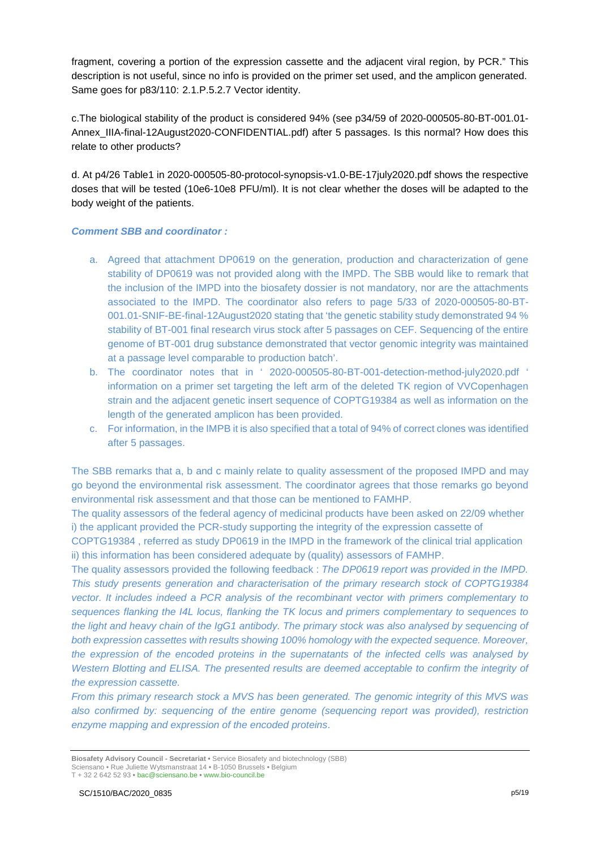fragment, covering a portion of the expression cassette and the adjacent viral region, by PCR." This description is not useful, since no info is provided on the primer set used, and the amplicon generated. Same goes for p83/110: 2.1.P.5.2.7 Vector identity.

c.The biological stability of the product is considered 94% (see p34/59 of 2020-000505-80-BT-001.01- Annex\_IIIA-final-12August2020-CONFIDENTIAL.pdf) after 5 passages. Is this normal? How does this relate to other products?

d. At p4/26 Table1 in 2020-000505-80-protocol-synopsis-v1.0-BE-17july2020.pdf shows the respective doses that will be tested (10e6-10e8 PFU/ml). It is not clear whether the doses will be adapted to the body weight of the patients.

### *Comment SBB and coordinator :*

- a. Agreed that attachment DP0619 on the generation, production and characterization of gene stability of DP0619 was not provided along with the IMPD. The SBB would like to remark that the inclusion of the IMPD into the biosafety dossier is not mandatory, nor are the attachments associated to the IMPD. The coordinator also refers to page 5/33 of 2020-000505-80-BT-001.01-SNIF-BE-final-12August2020 stating that 'the genetic stability study demonstrated 94 % stability of BT-001 final research virus stock after 5 passages on CEF. Sequencing of the entire genome of BT-001 drug substance demonstrated that vector genomic integrity was maintained at a passage level comparable to production batch'.
- b. The coordinator notes that in ' 2020-000505-80-BT-001-detection-method-july2020.pdf ' information on a primer set targeting the left arm of the deleted TK region of VVCopenhagen strain and the adjacent genetic insert sequence of COPTG19384 as well as information on the length of the generated amplicon has been provided.
- c. For information, in the IMPB it is also specified that a total of 94% of correct clones was identified after 5 passages.

The SBB remarks that a, b and c mainly relate to quality assessment of the proposed IMPD and may go beyond the environmental risk assessment. The coordinator agrees that those remarks go beyond environmental risk assessment and that those can be mentioned to FAMHP.

The quality assessors of the federal agency of medicinal products have been asked on 22/09 whether i) the applicant provided the PCR-study supporting the integrity of the expression cassette of

COPTG19384 , referred as study DP0619 in the IMPD in the framework of the clinical trial application ii) this information has been considered adequate by (quality) assessors of FAMHP.

The quality assessors provided the following feedback : *The DP0619 report was provided in the IMPD. This study presents generation and characterisation of the primary research stock of COPTG19384 vector. It includes indeed a PCR analysis of the recombinant vector with primers complementary to sequences flanking the I4L locus, flanking the TK locus and primers complementary to sequences to the light and heavy chain of the IgG1 antibody. The primary stock was also analysed by sequencing of both expression cassettes with results showing 100% homology with the expected sequence. Moreover, the expression of the encoded proteins in the supernatants of the infected cells was analysed by Western Blotting and ELISA. The presented results are deemed acceptable to confirm the integrity of the expression cassette.*

*From this primary research stock a MVS has been generated. The genomic integrity of this MVS was also confirmed by: sequencing of the entire genome (sequencing report was provided), restriction enzyme mapping and expression of the encoded proteins*.

**Biosafety Advisory Council - Secretariat •** Service Biosafety and biotechnology (SBB) Sciensano • Rue Juliette Wytsmanstraat 14 **•** B-1050 Brussels **•** Belgium T + 32 2 642 52 93 **•** bac@sciensano.be **•** www.bio-council.be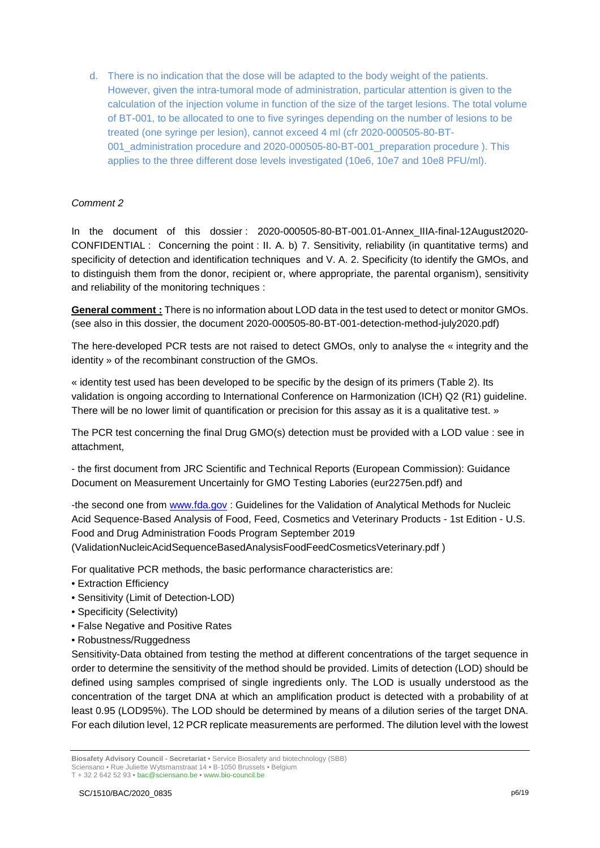d. There is no indication that the dose will be adapted to the body weight of the patients. However, given the intra-tumoral mode of administration, particular attention is given to the calculation of the injection volume in function of the size of the target lesions. The total volume of BT-001, to be allocated to one to five syringes depending on the number of lesions to be treated (one syringe per lesion), cannot exceed 4 ml (cfr 2020-000505-80-BT-001 administration procedure and 2020-000505-80-BT-001 preparation procedure ). This applies to the three different dose levels investigated (10e6, 10e7 and 10e8 PFU/ml).

# *Comment 2*

In the document of this dossier : 2020-000505-80-BT-001.01-Annex\_IIIA-final-12August2020- CONFIDENTIAL : Concerning the point : II. A. b) 7. Sensitivity, reliability (in quantitative terms) and specificity of detection and identification techniques and V. A. 2. Specificity (to identify the GMOs, and to distinguish them from the donor, recipient or, where appropriate, the parental organism), sensitivity and reliability of the monitoring techniques :

**General comment :** There is no information about LOD data in the test used to detect or monitor GMOs. (see also in this dossier, the document 2020-000505-80-BT-001-detection-method-july2020.pdf)

The here-developed PCR tests are not raised to detect GMOs, only to analyse the « integrity and the identity » of the recombinant construction of the GMOs.

« identity test used has been developed to be specific by the design of its primers (Table 2). Its validation is ongoing according to International Conference on Harmonization (ICH) Q2 (R1) guideline. There will be no lower limit of quantification or precision for this assay as it is a qualitative test. »

The PCR test concerning the final Drug GMO(s) detection must be provided with a LOD value : see in attachment,

- the first document from JRC Scientific and Technical Reports (European Commission): Guidance Document on Measurement Uncertainly for GMO Testing Labories (eur2275en.pdf) and

-the second one from [www.fda.gov](http://www.fda.gov/) : Guidelines for the Validation of Analytical Methods for Nucleic Acid Sequence-Based Analysis of Food, Feed, Cosmetics and Veterinary Products - 1st Edition - U.S. Food and Drug Administration Foods Program September 2019 (ValidationNucleicAcidSequenceBasedAnalysisFoodFeedCosmeticsVeterinary.pdf )

For qualitative PCR methods, the basic performance characteristics are:

- Extraction Efficiency
- Sensitivity (Limit of Detection-LOD)
- Specificity (Selectivity)
- False Negative and Positive Rates
- Robustness/Ruggedness

Sensitivity-Data obtained from testing the method at different concentrations of the target sequence in order to determine the sensitivity of the method should be provided. Limits of detection (LOD) should be defined using samples comprised of single ingredients only. The LOD is usually understood as the concentration of the target DNA at which an amplification product is detected with a probability of at least 0.95 (LOD95%). The LOD should be determined by means of a dilution series of the target DNA. For each dilution level, 12 PCR replicate measurements are performed. The dilution level with the lowest

**Biosafety Advisory Council - Secretariat •** Service Biosafety and biotechnology (SBB) Sciensano • Rue Juliette Wytsmanstraat 14 **•** B-1050 Brussels **•** Belgium T + 32 2 642 52 93 **•** bac@sciensano.be **•** www.bio-council.be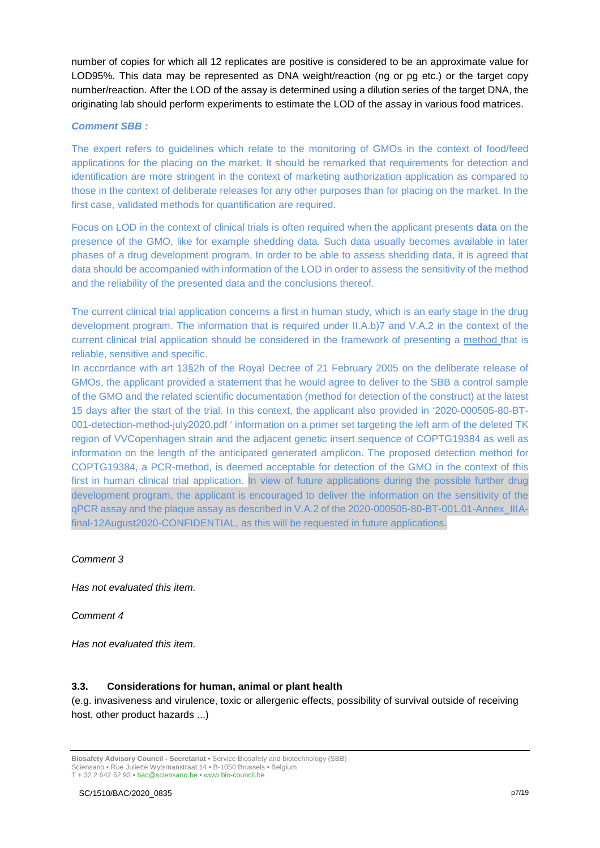number of copies for which all 12 replicates are positive is considered to be an approximate value for LOD95%. This data may be represented as DNA weight/reaction (ng or pg etc.) or the target copy number/reaction. After the LOD of the assay is determined using a dilution series of the target DNA, the originating lab should perform experiments to estimate the LOD of the assay in various food matrices.

### *Comment SBB :*

The expert refers to guidelines which relate to the monitoring of GMOs in the context of food/feed applications for the placing on the market. It should be remarked that requirements for detection and identification are more stringent in the context of marketing authorization application as compared to those in the context of deliberate releases for any other purposes than for placing on the market. In the first case, validated methods for quantification are required.

Focus on LOD in the context of clinical trials is often required when the applicant presents **data** on the presence of the GMO, like for example shedding data. Such data usually becomes available in later phases of a drug development program. In order to be able to assess shedding data, it is agreed that data should be accompanied with information of the LOD in order to assess the sensitivity of the method and the reliability of the presented data and the conclusions thereof.

The current clinical trial application concerns a first in human study, which is an early stage in the drug development program. The information that is required under II.A.b)7 and V.A.2 in the context of the current clinical trial application should be considered in the framework of presenting a method that is reliable, sensitive and specific.

In accordance with art 13§2h of the Royal Decree of 21 February 2005 on the deliberate release of GMOs, the applicant provided a statement that he would agree to deliver to the SBB a control sample of the GMO and the related scientific documentation (method for detection of the construct) at the latest 15 days after the start of the trial. In this context, the applicant also provided in '2020-000505-80-BT-001-detection-method-july2020.pdf ' information on a primer set targeting the left arm of the deleted TK region of VVCopenhagen strain and the adjacent genetic insert sequence of COPTG19384 as well as information on the length of the anticipated generated amplicon. The proposed detection method for COPTG19384, a PCR-method, is deemed acceptable for detection of the GMO in the context of this first in human clinical trial application. In view of future applications during the possible further drug development program, the applicant is encouraged to deliver the information on the sensitivity of the qPCR assay and the plaque assay as described in V.A.2 of the 2020-000505-80-BT-001.01-Annex\_IIIAfinal-12August2020-CONFIDENTIAL, as this will be requested in future applications.

### *Comment 3*

*Has not evaluated this item.*

### *Comment 4*

*Has not evaluated this item.*

### **3.3. Considerations for human, animal or plant health**

(e.g. invasiveness and virulence, toxic or allergenic effects, possibility of survival outside of receiving host, other product hazards ...)

**Biosafety Advisory Council - Secretariat •** Service Biosafety and biotechnology (SBB) Sciensano • Rue Juliette Wytsmanstraat 14 **•** B-1050 Brussels **•** Belgium T + 32 2 642 52 93 **•** bac@sciensano.be **•** www.bio-council.be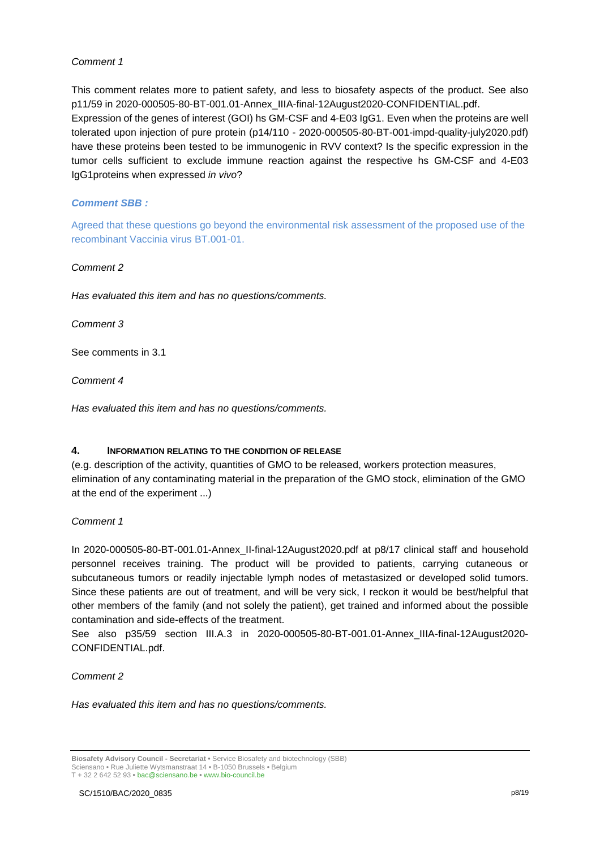This comment relates more to patient safety, and less to biosafety aspects of the product. See also p11/59 in 2020-000505-80-BT-001.01-Annex\_IIIA-final-12August2020-CONFIDENTIAL.pdf. Expression of the genes of interest (GOI) hs GM-CSF and 4-E03 IgG1. Even when the proteins are well tolerated upon injection of pure protein (p14/110 - 2020-000505-80-BT-001-impd-quality-july2020.pdf) have these proteins been tested to be immunogenic in RVV context? Is the specific expression in the tumor cells sufficient to exclude immune reaction against the respective hs GM-CSF and 4-E03 IgG1proteins when expressed *in vivo*?

# *Comment SBB :*

Agreed that these questions go beyond the environmental risk assessment of the proposed use of the recombinant Vaccinia virus BT.001-01.

### *Comment 2*

*Has evaluated this item and has no questions/comments.*

*Comment 3*

See comments in 3.1

*Comment 4* 

*Has evaluated this item and has no questions/comments.*

### **4. INFORMATION RELATING TO THE CONDITION OF RELEASE**

(e.g. description of the activity, quantities of GMO to be released, workers protection measures, elimination of any contaminating material in the preparation of the GMO stock, elimination of the GMO at the end of the experiment ...)

### *Comment 1*

In 2020-000505-80-BT-001.01-Annex\_II-final-12August2020.pdf at p8/17 clinical staff and household personnel receives training. The product will be provided to patients, carrying cutaneous or subcutaneous tumors or readily injectable lymph nodes of metastasized or developed solid tumors. Since these patients are out of treatment, and will be very sick, I reckon it would be best/helpful that other members of the family (and not solely the patient), get trained and informed about the possible contamination and side-effects of the treatment.

See also p35/59 section III.A.3 in 2020-000505-80-BT-001.01-Annex\_IIIA-final-12August2020- CONFIDENTIAL.pdf.

*Comment 2*

*Has evaluated this item and has no questions/comments.*

**Biosafety Advisory Council - Secretariat •** Service Biosafety and biotechnology (SBB) Sciensano • Rue Juliette Wytsmanstraat 14 **•** B-1050 Brussels **•** Belgium T + 32 2 642 52 93 **•** bac@sciensano.be **•** www.bio-council.be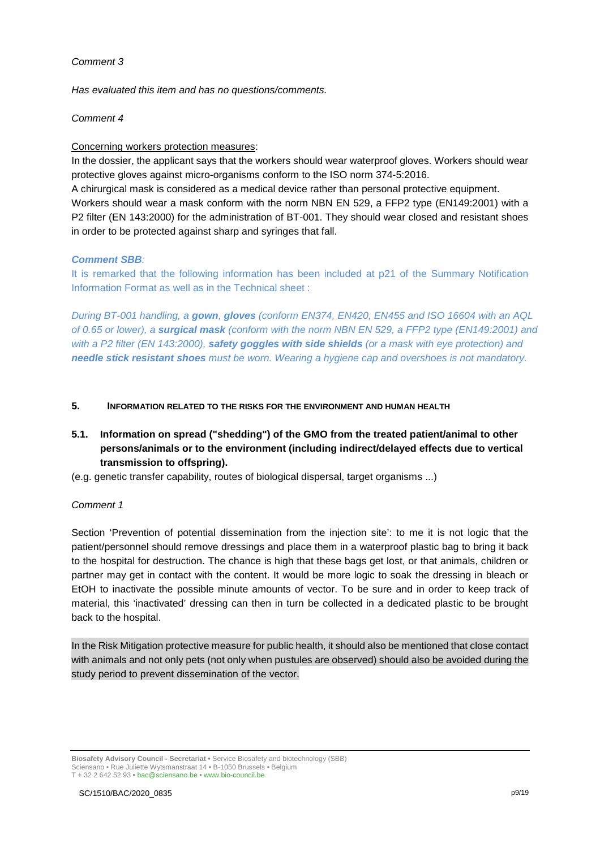*Has evaluated this item and has no questions/comments.*

### *Comment 4*

### Concerning workers protection measures:

In the dossier, the applicant says that the workers should wear waterproof gloves. Workers should wear protective gloves against micro-organisms conform to the ISO norm 374-5:2016.

A chirurgical mask is considered as a medical device rather than personal protective equipment. Workers should wear a mask conform with the norm NBN EN 529, a FFP2 type (EN149:2001) with a P2 filter (EN 143:2000) for the administration of BT-001. They should wear closed and resistant shoes in order to be protected against sharp and syringes that fall.

### *Comment SBB:*

It is remarked that the following information has been included at p21 of the Summary Notification Information Format as well as in the Technical sheet :

*During BT-001 handling, a gown, gloves (conform EN374, EN420, EN455 and ISO 16604 with an AQL of 0.65 or lower), a surgical mask (conform with the norm NBN EN 529, a FFP2 type (EN149:2001) and with a P2 filter (EN 143:2000), safety goggles with side shields (or a mask with eye protection) and needle stick resistant shoes must be worn. Wearing a hygiene cap and overshoes is not mandatory.* 

### **5. INFORMATION RELATED TO THE RISKS FOR THE ENVIRONMENT AND HUMAN HEALTH**

# **5.1. Information on spread ("shedding") of the GMO from the treated patient/animal to other persons/animals or to the environment (including indirect/delayed effects due to vertical transmission to offspring).**

(e.g. genetic transfer capability, routes of biological dispersal, target organisms ...)

### *Comment 1*

Section 'Prevention of potential dissemination from the injection site': to me it is not logic that the patient/personnel should remove dressings and place them in a waterproof plastic bag to bring it back to the hospital for destruction. The chance is high that these bags get lost, or that animals, children or partner may get in contact with the content. It would be more logic to soak the dressing in bleach or EtOH to inactivate the possible minute amounts of vector. To be sure and in order to keep track of material, this 'inactivated' dressing can then in turn be collected in a dedicated plastic to be brought back to the hospital.

In the Risk Mitigation protective measure for public health, it should also be mentioned that close contact with animals and not only pets (not only when pustules are observed) should also be avoided during the study period to prevent dissemination of the vector.

**Biosafety Advisory Council - Secretariat •** Service Biosafety and biotechnology (SBB) Sciensano • Rue Juliette Wytsmanstraat 14 **•** B-1050 Brussels **•** Belgium T + 32 2 642 52 93 **•** bac@sciensano.be **•** www.bio-council.be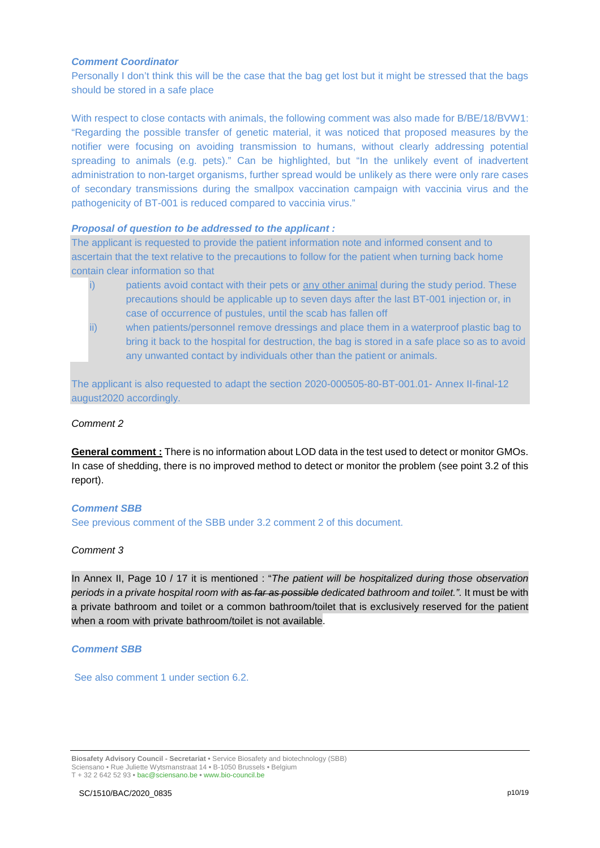#### *Comment Coordinator*

Personally I don't think this will be the case that the bag get lost but it might be stressed that the bags should be stored in a safe place

With respect to close contacts with animals, the following comment was also made for B/BE/18/BVW1: "Regarding the possible transfer of genetic material, it was noticed that proposed measures by the notifier were focusing on avoiding transmission to humans, without clearly addressing potential spreading to animals (e.g. pets)." Can be highlighted, but "In the unlikely event of inadvertent administration to non-target organisms, further spread would be unlikely as there were only rare cases of secondary transmissions during the smallpox vaccination campaign with vaccinia virus and the pathogenicity of BT-001 is reduced compared to vaccinia virus."

### *Proposal of question to be addressed to the applicant :*

The applicant is requested to provide the patient information note and informed consent and to ascertain that the text relative to the precautions to follow for the patient when turning back home contain clear information so that

- i) patients avoid contact with their pets or any other animal during the study period. These precautions should be applicable up to seven days after the last BT-001 injection or, in case of occurrence of pustules, until the scab has fallen off
- ii) when patients/personnel remove dressings and place them in a waterproof plastic bag to bring it back to the hospital for destruction, the bag is stored in a safe place so as to avoid any unwanted contact by individuals other than the patient or animals.

The applicant is also requested to adapt the section 2020-000505-80-BT-001.01- Annex II-final-12 august2020 accordingly.

## *Comment 2*

**General comment :** There is no information about LOD data in the test used to detect or monitor GMOs. In case of shedding, there is no improved method to detect or monitor the problem (see point 3.2 of this report).

### *Comment SBB*

See previous comment of the SBB under 3.2 comment 2 of this document.

### *Comment 3*

In Annex II, Page 10 / 17 it is mentioned : "*The patient will be hospitalized during those observation periods in a private hospital room with as far as possible dedicated bathroom and toilet.".* It must be with a private bathroom and toilet or a common bathroom/toilet that is exclusively reserved for the patient when a room with private bathroom/toilet is not available.

#### *Comment SBB*

See also comment 1 under section 6.2.

**Biosafety Advisory Council - Secretariat •** Service Biosafety and biotechnology (SBB) Sciensano • Rue Juliette Wytsmanstraat 14 **•** B-1050 Brussels **•** Belgium T + 32 2 642 52 93 **•** bac@sciensano.be **•** www.bio-council.be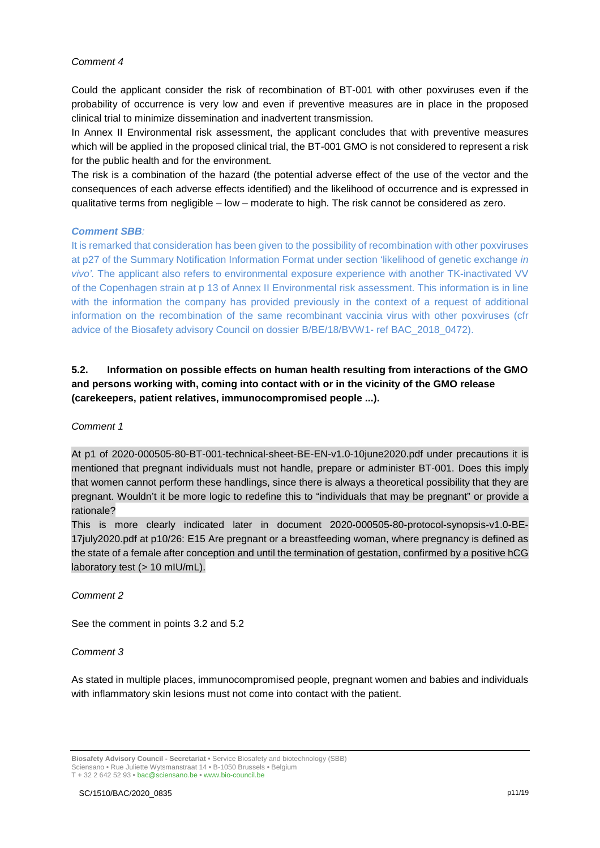Could the applicant consider the risk of recombination of BT-001 with other poxviruses even if the probability of occurrence is very low and even if preventive measures are in place in the proposed clinical trial to minimize dissemination and inadvertent transmission.

In Annex II Environmental risk assessment, the applicant concludes that with preventive measures which will be applied in the proposed clinical trial, the BT-001 GMO is not considered to represent a risk for the public health and for the environment.

The risk is a combination of the hazard (the potential adverse effect of the use of the vector and the consequences of each adverse effects identified) and the likelihood of occurrence and is expressed in qualitative terms from negligible – low – moderate to high. The risk cannot be considered as zero.

### *Comment SBB:*

It is remarked that consideration has been given to the possibility of recombination with other poxviruses at p27 of the Summary Notification Information Format under section 'likelihood of genetic exchange *in vivo'.* The applicant also refers to environmental exposure experience with another TK-inactivated VV of the Copenhagen strain at p 13 of Annex II Environmental risk assessment. This information is in line with the information the company has provided previously in the context of a request of additional information on the recombination of the same recombinant vaccinia virus with other poxviruses (cfr advice of the Biosafety advisory Council on dossier B/BE/18/BVW1- ref BAC\_2018\_0472).

# **5.2. Information on possible effects on human health resulting from interactions of the GMO and persons working with, coming into contact with or in the vicinity of the GMO release (carekeepers, patient relatives, immunocompromised people ...).**

### *Comment 1*

At p1 of 2020-000505-80-BT-001-technical-sheet-BE-EN-v1.0-10june2020.pdf under precautions it is mentioned that pregnant individuals must not handle, prepare or administer BT-001. Does this imply that women cannot perform these handlings, since there is always a theoretical possibility that they are pregnant. Wouldn't it be more logic to redefine this to "individuals that may be pregnant" or provide a rationale?

This is more clearly indicated later in document 2020-000505-80-protocol-synopsis-v1.0-BE-17july2020.pdf at p10/26: E15 Are pregnant or a breastfeeding woman, where pregnancy is defined as the state of a female after conception and until the termination of gestation, confirmed by a positive hCG laboratory test (> 10 mIU/mL).

*Comment 2*

See the comment in points 3.2 and 5.2

### *Comment 3*

As stated in multiple places, immunocompromised people, pregnant women and babies and individuals with inflammatory skin lesions must not come into contact with the patient.

**Biosafety Advisory Council - Secretariat •** Service Biosafety and biotechnology (SBB) Sciensano • Rue Juliette Wytsmanstraat 14 **•** B-1050 Brussels **•** Belgium T + 32 2 642 52 93 **•** bac@sciensano.be **•** www.bio-council.be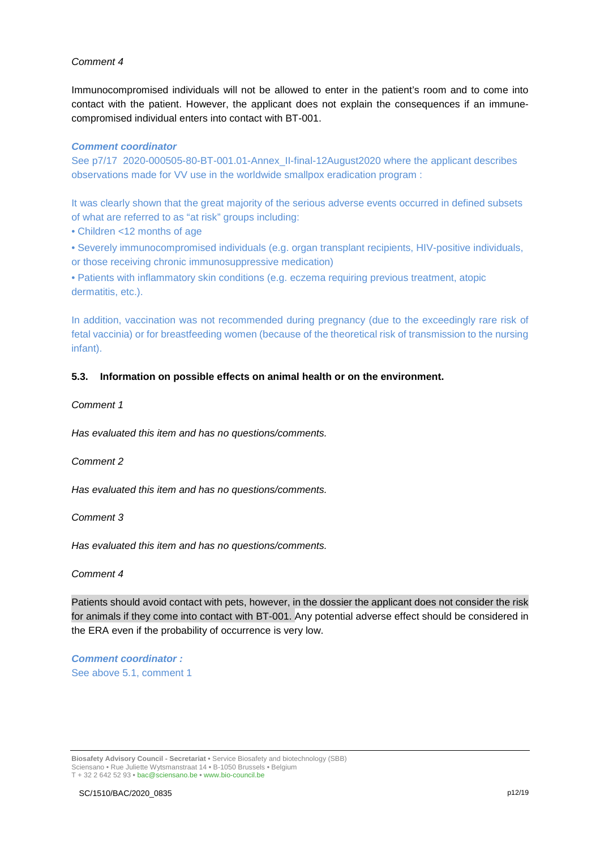Immunocompromised individuals will not be allowed to enter in the patient's room and to come into contact with the patient. However, the applicant does not explain the consequences if an immunecompromised individual enters into contact with BT-001.

#### *Comment coordinator*

See p7/17 2020-000505-80-BT-001.01-Annex\_II-final-12August2020 where the applicant describes observations made for VV use in the worldwide smallpox eradication program :

It was clearly shown that the great majority of the serious adverse events occurred in defined subsets of what are referred to as "at risk" groups including:

• Children <12 months of age

• Severely immunocompromised individuals (e.g. organ transplant recipients, HIV-positive individuals, or those receiving chronic immunosuppressive medication)

• Patients with inflammatory skin conditions (e.g. eczema requiring previous treatment, atopic dermatitis, etc.).

In addition, vaccination was not recommended during pregnancy (due to the exceedingly rare risk of fetal vaccinia) or for breastfeeding women (because of the theoretical risk of transmission to the nursing infant).

### **5.3. Information on possible effects on animal health or on the environment.**

#### *Comment 1*

*Has evaluated this item and has no questions/comments.*

*Comment 2*

*Has evaluated this item and has no questions/comments.*

*Comment 3*

*Has evaluated this item and has no questions/comments.*

#### *Comment 4*

Patients should avoid contact with pets, however, in the dossier the applicant does not consider the risk for animals if they come into contact with BT-001. Any potential adverse effect should be considered in the ERA even if the probability of occurrence is very low.

*Comment coordinator :*  See above 5.1, comment 1

**Biosafety Advisory Council - Secretariat •** Service Biosafety and biotechnology (SBB) Sciensano • Rue Juliette Wytsmanstraat 14 **•** B-1050 Brussels **•** Belgium T + 32 2 642 52 93 **•** bac@sciensano.be **•** www.bio-council.be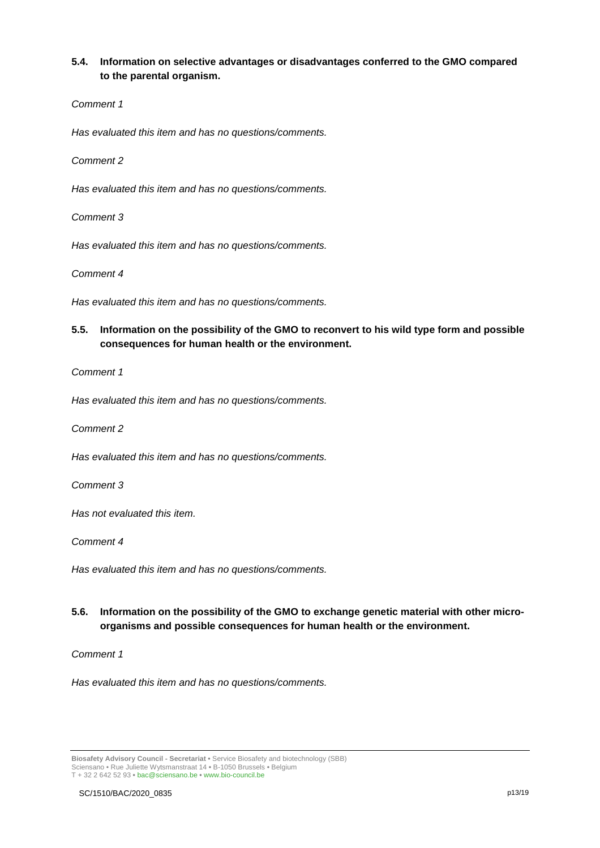## **5.4. Information on selective advantages or disadvantages conferred to the GMO compared to the parental organism.**

### *Comment 1*

*Has evaluated this item and has no questions/comments.*

*Comment 2*

*Has evaluated this item and has no questions/comments.*

*Comment 3*

*Has evaluated this item and has no questions/comments.*

*Comment 4*

*Has evaluated this item and has no questions/comments.*

# **5.5. Information on the possibility of the GMO to reconvert to his wild type form and possible consequences for human health or the environment.**

*Comment 1*

*Has evaluated this item and has no questions/comments.*

*Comment 2*

*Has evaluated this item and has no questions/comments.*

*Comment 3*

*Has not evaluated this item.*

*Comment 4*

*Has evaluated this item and has no questions/comments.*

# **5.6. Information on the possibility of the GMO to exchange genetic material with other microorganisms and possible consequences for human health or the environment.**

*Comment 1*

*Has evaluated this item and has no questions/comments.*

**Biosafety Advisory Council - Secretariat •** Service Biosafety and biotechnology (SBB) Sciensano • Rue Juliette Wytsmanstraat 14 **•** B-1050 Brussels **•** Belgium T + 32 2 642 52 93 **•** bac@sciensano.be **•** www.bio-council.be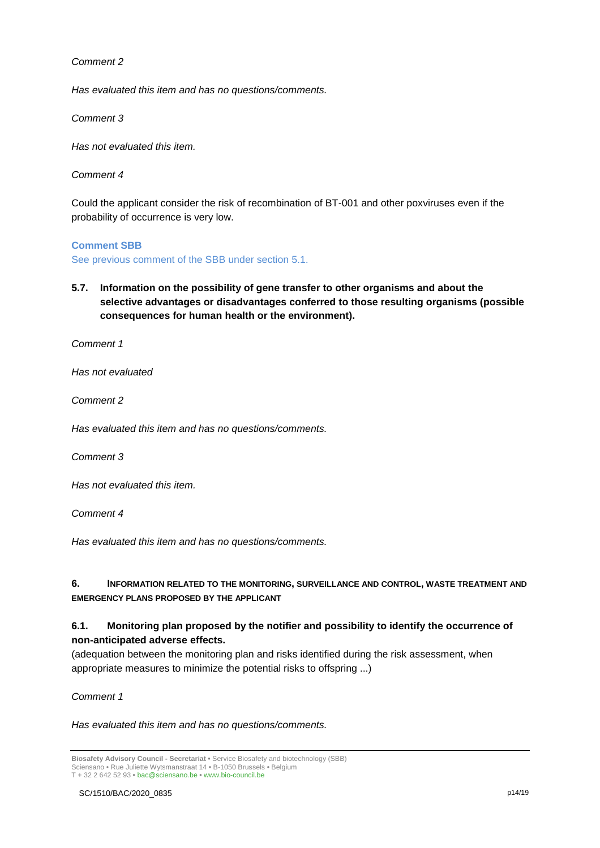*Has evaluated this item and has no questions/comments.*

*Comment 3*

*Has not evaluated this item.*

*Comment 4*

Could the applicant consider the risk of recombination of BT-001 and other poxviruses even if the probability of occurrence is very low.

#### **Comment SBB**

See previous comment of the SBB under section 5.1.

**5.7. Information on the possibility of gene transfer to other organisms and about the selective advantages or disadvantages conferred to those resulting organisms (possible consequences for human health or the environment).**

*Comment 1*

*Has not evaluated* 

*Comment 2*

*Has evaluated this item and has no questions/comments.*

*Comment 3*

*Has not evaluated this item.* 

*Comment 4*

*Has evaluated this item and has no questions/comments.*

### **6. INFORMATION RELATED TO THE MONITORING, SURVEILLANCE AND CONTROL, WASTE TREATMENT AND EMERGENCY PLANS PROPOSED BY THE APPLICANT**

# **6.1. Monitoring plan proposed by the notifier and possibility to identify the occurrence of non-anticipated adverse effects.**

(adequation between the monitoring plan and risks identified during the risk assessment, when appropriate measures to minimize the potential risks to offspring ...)

*Comment 1*

*Has evaluated this item and has no questions/comments.*

**Biosafety Advisory Council - Secretariat •** Service Biosafety and biotechnology (SBB) Sciensano • Rue Juliette Wytsmanstraat 14 **•** B-1050 Brussels **•** Belgium T + 32 2 642 52 93 **•** bac@sciensano.be **•** www.bio-council.be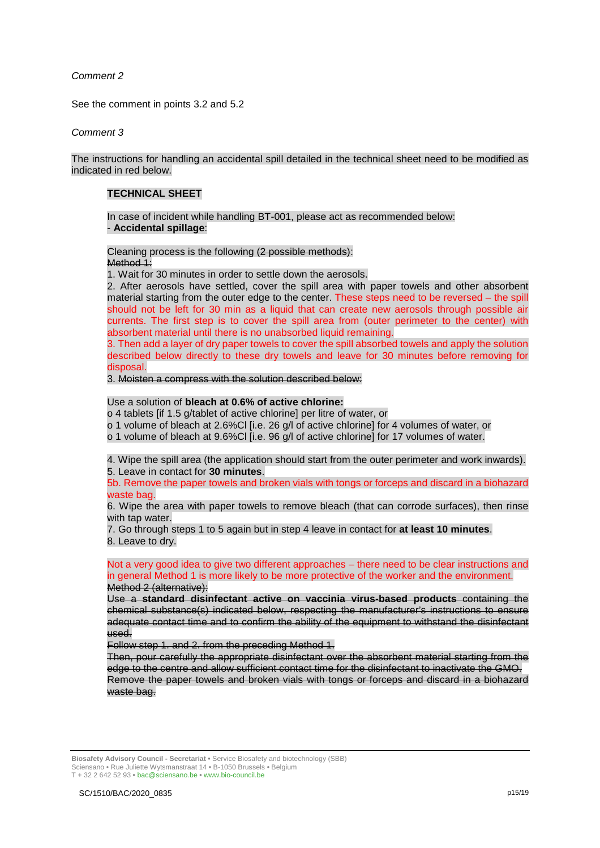See the comment in points 3.2 and 5.2

*Comment 3*

The instructions for handling an accidental spill detailed in the technical sheet need to be modified as indicated in red below.

## **TECHNICAL SHEET**

In case of incident while handling BT-001, please act as recommended below: - **Accidental spillage**:

Cleaning process is the following (2 possible methods): Method 1:

1. Wait for 30 minutes in order to settle down the aerosols.

2. After aerosols have settled, cover the spill area with paper towels and other absorbent material starting from the outer edge to the center. These steps need to be reversed – the spill should not be left for 30 min as a liquid that can create new aerosols through possible air currents. The first step is to cover the spill area from (outer perimeter to the center) with absorbent material until there is no unabsorbed liquid remaining.

3. Then add a layer of dry paper towels to cover the spill absorbed towels and apply the solution described below directly to these dry towels and leave for 30 minutes before removing for disposal.

3. Moisten a compress with the solution described below:

### Use a solution of **bleach at 0.6% of active chlorine:**

o 4 tablets [if 1.5 g/tablet of active chlorine] per litre of water, or

o 1 volume of bleach at 2.6%Cl [i.e. 26 g/l of active chlorine] for 4 volumes of water, or

o 1 volume of bleach at 9.6%Cl [i.e. 96 g/l of active chlorine] for 17 volumes of water.

4. Wipe the spill area (the application should start from the outer perimeter and work inwards). 5. Leave in contact for **30 minutes**.

5b. Remove the paper towels and broken vials with tongs or forceps and discard in a biohazard waste bag.

6. Wipe the area with paper towels to remove bleach (that can corrode surfaces), then rinse with tap water.

7. Go through steps 1 to 5 again but in step 4 leave in contact for **at least 10 minutes**. 8. Leave to dry.

#### Not a very good idea to give two different approaches – there need to be clear instructions and in general Method 1 is more likely to be more protective of the worker and the environment. Method 2 (alternative):

Use a **standard disinfectant active on vaccinia virus-based products** containing the chemical substance(s) indicated below, respecting the manufacturer's instructions to ensure adequate contact time and to confirm the ability of the equipment to withstand the disinfectant used.

Follow step 1. and 2. from the preceding Method 1.

Then, pour carefully the appropriate disinfectant over the absorbent material starting from the edge to the centre and allow sufficient contact time for the disinfectant to inactivate the GMO. Remove the paper towels and broken vials with tongs or forceps and discard in a biohazard waste bag.

**Biosafety Advisory Council - Secretariat •** Service Biosafety and biotechnology (SBB) Sciensano • Rue Juliette Wytsmanstraat 14 **•** B-1050 Brussels **•** Belgium T + 32 2 642 52 93 **•** bac@sciensano.be **•** www.bio-council.be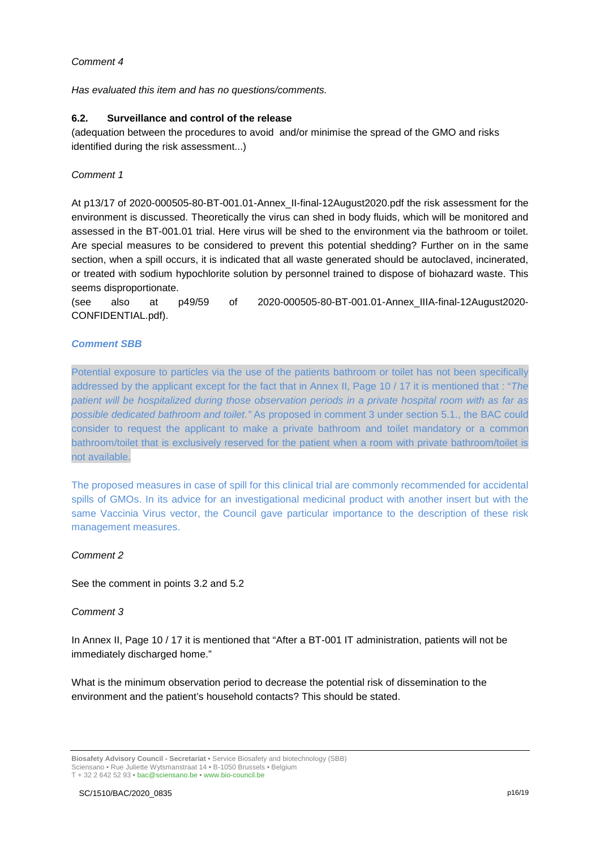*Has evaluated this item and has no questions/comments.*

### **6.2. Surveillance and control of the release**

(adequation between the procedures to avoid and/or minimise the spread of the GMO and risks identified during the risk assessment...)

### *Comment 1*

At p13/17 of 2020-000505-80-BT-001.01-Annex\_II-final-12August2020.pdf the risk assessment for the environment is discussed. Theoretically the virus can shed in body fluids, which will be monitored and assessed in the BT-001.01 trial. Here virus will be shed to the environment via the bathroom or toilet. Are special measures to be considered to prevent this potential shedding? Further on in the same section, when a spill occurs, it is indicated that all waste generated should be autoclaved, incinerated, or treated with sodium hypochlorite solution by personnel trained to dispose of biohazard waste. This seems disproportionate.

(see also at p49/59 of 2020-000505-80-BT-001.01-Annex\_IIIA-final-12August2020- CONFIDENTIAL.pdf).

### *Comment SBB*

Potential exposure to particles via the use of the patients bathroom or toilet has not been specifically addressed by the applicant except for the fact that in Annex II, Page 10 / 17 it is mentioned that : "*The patient will be hospitalized during those observation periods in a private hospital room with as far as possible dedicated bathroom and toilet."* As proposed in comment 3 under section 5.1., the BAC could consider to request the applicant to make a private bathroom and toilet mandatory or a common bathroom/toilet that is exclusively reserved for the patient when a room with private bathroom/toilet is not available.

The proposed measures in case of spill for this clinical trial are commonly recommended for accidental spills of GMOs. In its advice for an investigational medicinal product with another insert but with the same Vaccinia Virus vector, the Council gave particular importance to the description of these risk management measures.

#### *Comment 2*

See the comment in points 3.2 and 5.2

### *Comment 3*

In Annex II, Page 10 / 17 it is mentioned that "After a BT-001 IT administration, patients will not be immediately discharged home."

What is the minimum observation period to decrease the potential risk of dissemination to the environment and the patient's household contacts? This should be stated.

**Biosafety Advisory Council - Secretariat •** Service Biosafety and biotechnology (SBB) Sciensano • Rue Juliette Wytsmanstraat 14 **•** B-1050 Brussels **•** Belgium T + 32 2 642 52 93 **•** bac@sciensano.be **•** www.bio-council.be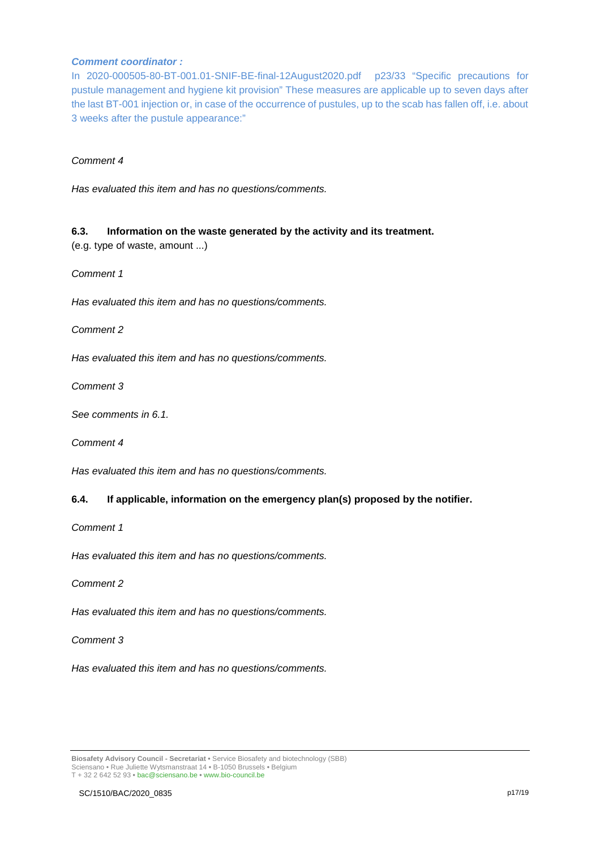### *Comment coordinator :*

In 2020-000505-80-BT-001.01-SNIF-BE-final-12August2020.pdf p23/33 "Specific precautions for pustule management and hygiene kit provision" These measures are applicable up to seven days after the last BT-001 injection or, in case of the occurrence of pustules, up to the scab has fallen off, i.e. about 3 weeks after the pustule appearance:"

### *Comment 4*

*Has evaluated this item and has no questions/comments.*

### **6.3. Information on the waste generated by the activity and its treatment.**

(e.g. type of waste, amount ...)

*Comment 1*

*Has evaluated this item and has no questions/comments.*

*Comment 2*

*Has evaluated this item and has no questions/comments.*

*Comment 3*

*See comments in 6.1.*

*Comment 4*

*Has evaluated this item and has no questions/comments.*

#### **6.4. If applicable, information on the emergency plan(s) proposed by the notifier.**

*Comment 1*

*Has evaluated this item and has no questions/comments.*

*Comment 2*

*Has evaluated this item and has no questions/comments.*

*Comment 3*

*Has evaluated this item and has no questions/comments.*

**Biosafety Advisory Council - Secretariat •** Service Biosafety and biotechnology (SBB) Sciensano • Rue Juliette Wytsmanstraat 14 **•** B-1050 Brussels **•** Belgium T + 32 2 642 52 93 **•** bac@sciensano.be **•** www.bio-council.be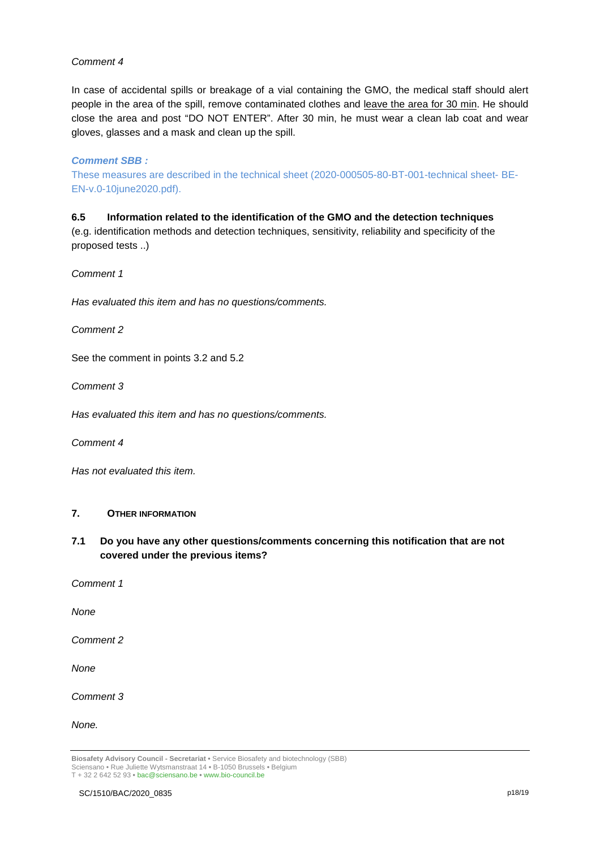In case of accidental spills or breakage of a vial containing the GMO, the medical staff should alert people in the area of the spill, remove contaminated clothes and leave the area for 30 min. He should close the area and post "DO NOT ENTER". After 30 min, he must wear a clean lab coat and wear gloves, glasses and a mask and clean up the spill.

### *Comment SBB :*

These measures are described in the technical sheet (2020-000505-80-BT-001-technical sheet- BE-EN-v.0-10june2020.pdf).

# **6.5 Information related to the identification of the GMO and the detection techniques**

(e.g. identification methods and detection techniques, sensitivity, reliability and specificity of the proposed tests ..)

*Comment 1*

*Has evaluated this item and has no questions/comments.*

*Comment 2*

See the comment in points 3.2 and 5.2

*Comment 3*

*Has evaluated this item and has no questions/comments.*

*Comment 4*

*Has not evaluated this item.*

### **7. OTHER INFORMATION**

- **7.1 Do you have any other questions/comments concerning this notification that are not covered under the previous items?**
- *Comment 1*

*None*

*Comment 2*

*None* 

*Comment 3*

*None.*

**Biosafety Advisory Council - Secretariat •** Service Biosafety and biotechnology (SBB) Sciensano • Rue Juliette Wytsmanstraat 14 **•** B-1050 Brussels **•** Belgium T + 32 2 642 52 93 **•** bac@sciensano.be **•** www.bio-council.be